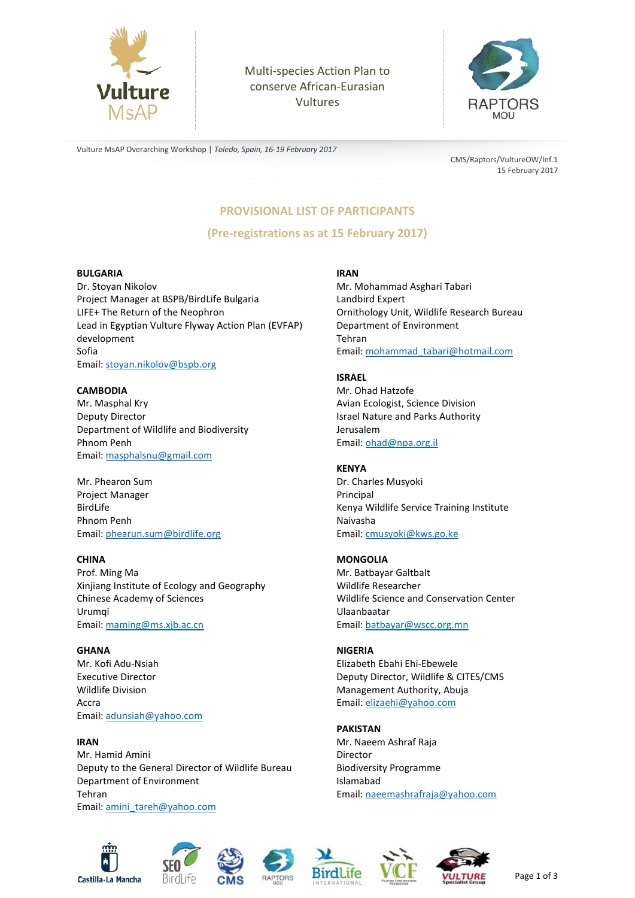

 Vultures Multi-species Action Plan to conserve African-Eurasian



Vulture MsAP Overarching Workshop | *Toledo, Spain, 16-19 February 2017*

CMS/Raptors/VultureOW/Inf.1 15 February 2017

# **PROVISIONAL LIST OF PARTICIPANTS**

**(Pre-registrations as at 15 February 2017)**

#### **BULGARIA**

Dr. Stoyan Nikolov Project Manager at BSPB/BirdLife Bulgaria LIFE+ The Return of the Neophron Lead in Egyptian Vulture Flyway Action Plan (EVFAP) development Sofia Email: [stoyan.nikolov@bspb.org](mailto:stoyan.nikolov@bspb.org)

#### **CAMBODIA**

Mr. Masphal Kry Deputy Director Department of Wildlife and Biodiversity Phnom Penh Email: [masphalsnu@gmail.com](mailto:masphalsnu@gmail.com)

Mr. Phearon Sum Project Manager BirdLife Phnom Penh Email: [phearun.sum@birdlife.org](mailto:phearun.sum@birdlife.org)

#### **CHINA**

Prof. Ming Ma Xinjiang Institute of Ecology and Geography Chinese Academy of Sciences Urumqi Email: [maming@ms.xjb.ac.cn](mailto:maming@ms.xjb.ac.cn)

**GHANA** Mr. Kofi Adu-Nsiah Executive Director Wildlife Division Accra Email: [adunsiah@yahoo.com](mailto:adunsiah@yahoo.com)

#### **IRAN**

Mr. Hamid Amini Deputy to the General Director of Wildlife Bureau Department of Environment Tehran Email: [amini\\_tareh@yahoo.com](mailto:amini_tareh@yahoo.com)

#### **IRAN**

Mr. Mohammad Asghari Tabari Landbird Expert Ornithology Unit, Wildlife Research Bureau Department of Environment Tehran Email: [mohammad\\_tabari@hotmail.com](mailto:mohammad_tabari@hotmail.com)

#### **ISRAEL**

Mr. Ohad Hatzofe Avian Ecologist, Science Division Israel Nature and Parks Authority Jerusalem Email: [ohad@npa.org.il](mailto:ohad@npa.org.il)

#### **KENYA**

Dr. Charles Musyoki Principal Kenya Wildlife Service Training Institute Naivasha Email: [cmusyoki@kws.go.ke](mailto:cmusyoki@kws.go.ke)

#### **MONGOLIA**

Mr. Batbayar Galtbalt Wildlife Researcher Wildlife Science and Conservation Center Ulaanbaatar Email: [batbayar@wscc.org.mn](mailto:batbayar@wscc.org.mn)

#### **NIGERIA**

Elizabeth Ebahi Ehi-Ebewele Deputy Director, Wildlife & CITES/CMS Management Authority, Abuja Email: [elizaehi@yahoo.com](mailto:elizaehi@yahoo.com)

#### **PAKISTAN**

Mr. Naeem Ashraf Raja Director Biodiversity Programme Islamabad Email: [naeemashrafraja@yahoo.com](mailto:naeemashrafraja@yahoo.com)









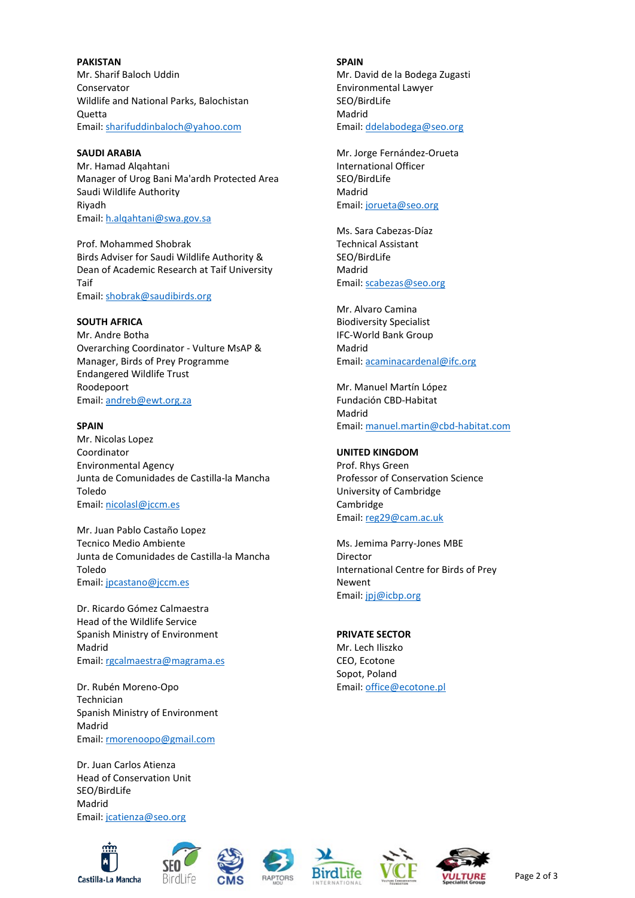**PAKISTAN** Mr. Sharif Baloch Uddin Conservator Wildlife and National Parks, Balochistan Quetta Email: [sharifuddinbaloch@yahoo.com](mailto:sharifuddinbaloch@yahoo.com)

#### **SAUDI ARABIA**

Mr. Hamad Alqahtani Manager of Urog Bani Ma'ardh Protected Area Saudi Wildlife Authority Riyadh Email: [h.alqahtani@swa.gov.sa](mailto:h.alqahtani@swa.gov.sa)

Prof. Mohammed Shobrak Birds Adviser for Saudi Wildlife Authority & Dean of Academic Research at Taif University Taif Email: [shobrak@saudibirds.org](mailto:shobrak@saudibirds.org)

## **SOUTH AFRICA**

Mr. Andre Botha Overarching Coordinator - Vulture MsAP & Manager, Birds of Prey Programme Endangered Wildlife Trust Roodepoort Email: [andreb@ewt.org.za](mailto:andreb@ewt.org.za)

#### **SPAIN**

Mr. Nicolas Lopez Coordinator Environmental Agency Junta de Comunidades de Castilla-la Mancha Toledo Email: [nicolasl@jccm.es](mailto:nicolasl@jccm.es)

Mr. Juan Pablo Castaño Lopez Tecnico Medio Ambiente Junta de Comunidades de Castilla-la Mancha Toledo Email: [jpcastano@jccm.es](mailto:jpcastano@jccm.es)

Dr. Ricardo Gómez Calmaestra Head of the Wildlife Service Spanish Ministry of Environment Madrid Email: [rgcalmaestra@magrama.es](mailto:rgcalmaestra@magrama.es)

Dr. Rubén Moreno-Opo Technician Spanish Ministry of Environment Madrid Email: [rmorenoopo@gmail.com](mailto:rmorenoopo@gmail.com)

Dr. Juan Carlos Atienza Head of Conservation Unit SEO/BirdLife Madrid Email: [jcatienza@seo.org](mailto:jcatienza@seo.org)















Page 2 of 3

**SPAIN** Mr. David de la Bodega Zugasti Environmental Lawyer SEO/BirdLife Madrid Email: [ddelabodega@seo.org](mailto:ddelabodega@seo.org)

Mr. Jorge Fernández-Orueta International Officer SEO/BirdLife Madrid Email: [jorueta@seo.org](mailto:jorueta@seo.org)

Ms. Sara Cabezas-Díaz Technical Assistant SEO/BirdLife Madrid Email: [scabezas@seo.org](mailto:scabezas@seo.org)

Mr. Alvaro Camina Biodiversity Specialist IFC-World Bank Group Madrid Email: [acaminacardenal@ifc.org](mailto:acaminacardenal@ifc.org)

Mr. Manuel Martín López Fundación CBD-Habitat Madrid Email: [manuel.martin@cbd-habitat.com](mailto:manuel.martin@cbd-habitat.com)

### **UNITED KINGDOM**

Prof. Rhys Green Professor of Conservation Science University of Cambridge Cambridge Email: [reg29@cam.ac.uk](mailto:reg29@cam.ac.uk)

Ms. Jemima Parry-Jones MBE Director International Centre for Birds of Prey Newent Email: [jpj@icbp.org](mailto:jpj@icbp.org)

### **PRIVATE SECTOR**

Mr. Lech Iliszko CEO, Ecotone Sopot, Poland Email: [office@ecotone.pl](mailto:office@ecotone.pl)